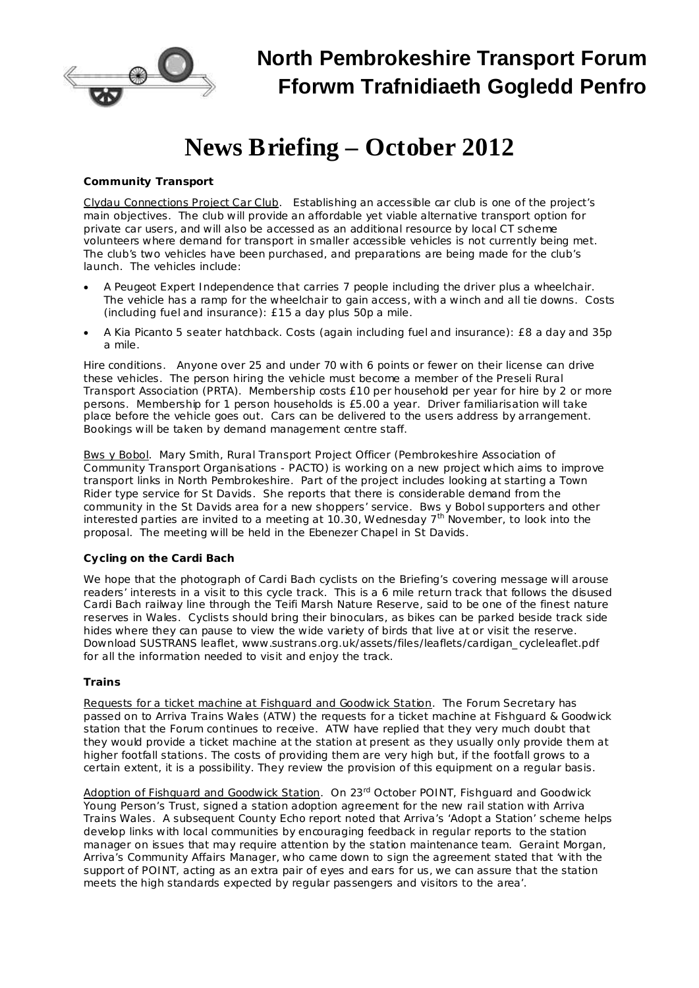

# **News Briefing – October 2012**

### *Community Transport*

Clydau Connections Project Car Club. Establishing an accessible car club is one of the project's main objectives. The club will provide an affordable yet viable alternative transport option for private car users, and will also be accessed as an additional resource by local CT scheme volunteers where demand for transport in smaller accessible vehicles is not currently being met. The club's two vehicles have been purchased, and preparations are being made for the club's launch. The vehicles include:

- · A *Peugeot Expert Independence* that carries 7 people including the driver plus a wheelchair. The vehicle has a ramp for the wheelchair to gain access, with a winch and all tie downs. Costs (including fuel and insurance): £15 a day plus 50p a mile.
- · A *Kia Picanto* 5 seater hatchback. Costs (again including fuel and insurance): £8 a day and 35p a mile.

*Hire conditions*. Anyone over 25 and under 70 with 6 points or fewer on their license can drive these vehicles. The person hiring the vehicle must become a member of the Preseli Rural Transport Association (PRTA). Membership costs £10 per household per year for hire by 2 or more persons. Membership for 1 person households is £5.00 a year. Driver familiarisation will take place before the vehicle goes out. Cars can be delivered to the users address by arrangement. Bookings will be taken by demand management centre staff.

Bws y Bobol. Mary Smith, Rural Transport Project Officer (Pembrokeshire Association of Community Transport Organisations - PACTO) is working on a new project which aims to improve transport links in North Pembrokeshire. Part of the project includes looking at starting a Town Rider type service for St Davids. She reports that there is considerable demand from the community in the St Davids area for a new shoppers' service. Bws y Bobol supporters and other interested parties are invited to a meeting at 10.30, Wednesday 7<sup>th</sup> November, to look into the proposal. The meeting will be held in the Ebenezer Chapel in St Davids.

## *Cycling on the Cardi Bach*

We hope that the photograph of Cardi Bach cyclists on the Briefing's covering message will arouse readers' interests in a visit to this cycle track. This is a 6 mile return track that follows the disused Cardi Bach railway line through the Teifi Marsh Nature Reserve, said to be one of the finest nature reserves in Wales. Cyclists should bring their binoculars, as bikes can be parked beside track side hides where they can pause to view the wide variety of birds that live at or visit the reserve. Download SUSTRANS leaflet, [www.sustrans.org.uk/assets/files/leaflets/cardigan\\_cycleleaflet.pdf](http://www.sustrans.org.uk/assets/files/leaflets/cardigan_cycleleaflet.pdf) for all the information needed to visit and enjoy the track.

#### *Trains*

Requests for a ticket machine at Fishguard and Goodwick Station. The Forum Secretary has passed on to Arriva Trains Wales (ATW) the requests for a ticket machine at Fishguard & Goodwick station that the Forum continues to receive. ATW have replied that they very much doubt that they would provide a ticket machine at the station at present as they usually only provide them at higher footfall stations. The costs of providing them are very high but, if the footfall grows to a certain extent, it is a possibility. They review the provision of this equipment on a regular basis.

Adoption of Fishguard and Goodwick Station. On 23<sup>rd</sup> October POINT, Fishguard and Goodwick Young Person's Trust, signed a station adoption agreement for the new rail station with Arriva Trains Wales. A subsequent *County Echo* report noted that Arriva's 'Adopt a Station' scheme helps develop links with local communities by encouraging feedback in regular reports to the station manager on issues that may require attention by the station maintenance team. Geraint Morgan, Arriva's Community Affairs Manager, who came down to sign the agreement stated that 'with the support of POINT, acting as an extra pair of eyes and ears for us, we can assure that the station meets the high standards expected by regular passengers and visitors to the area'.